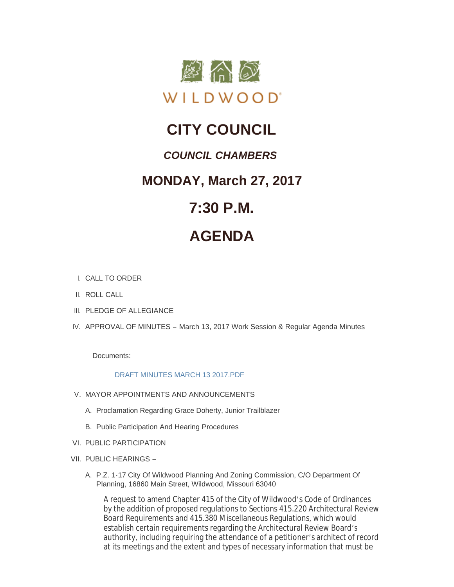

## **CITY COUNCIL**

### *COUNCIL CHAMBERS*

### **MONDAY, March 27, 2017**

## **7:30 P.M.**

# **AGENDA**

- CALL TO ORDER I.
- II. ROLL CALL
- III. PLEDGE OF ALLEGIANCE
- IV. APPROVAL OF MINUTES March 13, 2017 Work Session & Regular Agenda Minutes

Documents:

#### [DRAFT MINUTES MARCH 13 2017.PDF](http://www.cityofwildwood.com/AgendaCenter/ViewFile/Item/10224?fileID=14679)

- V. MAYOR APPOINTMENTS AND ANNOUNCEMENTS
	- A. Proclamation Regarding Grace Doherty, Junior Trailblazer
	- B. Public Participation And Hearing Procedures
- VI. PUBLIC PARTICIPATION
- VII. PUBLIC HEARINGS -
	- A. P.Z. 1-17 City Of Wildwood Planning And Zoning Commission, C/O Department Of Planning, 16860 Main Street, Wildwood, Missouri 63040

A request to amend Chapter 415 of the City of Wildwood's Code of Ordinances by the addition of proposed regulations to Sections 415.220 Architectural Review Board Requirements and 415.380 Miscellaneous Regulations, which would establish certain requirements regarding the Architectural Review Board's authority, including requiring the attendance of a petitioner's architect of record at its meetings and the extent and types of necessary information that must be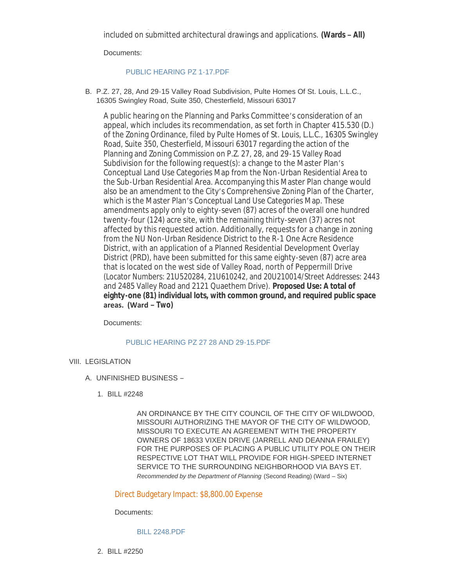at its meetings and the extent and types of necessary information that must be included on submitted architectural drawings and applications. **(Wards – All)**

Documents:

#### [PUBLIC HEARING PZ 1-17.PDF](http://www.cityofwildwood.com/AgendaCenter/ViewFile/Item/10230?fileID=14660)

B. P.Z. 27, 28, And 29-15 Valley Road Subdivision, Pulte Homes Of St. Louis, L.L.C., 16305 Swingley Road, Suite 350, Chesterfield, Missouri 63017

A public hearing on the Planning and Parks Committee's consideration of an appeal, which includes its recommendation, as set forth in Chapter 415.530 (D.) of the Zoning Ordinance, filed by Pulte Homes of St. Louis, L.L.C., 16305 Swingley Road, Suite 350, Chesterfield, Missouri 63017 regarding the action of the Planning and Zoning Commission on P.Z. 27, 28, and 29-15 Valley Road Subdivision for the following request(s): a change to the Master Plan's Conceptual Land Use Categories Map from the Non-Urban Residential Area to the Sub-Urban Residential Area. Accompanying this Master Plan change would also be an amendment to the City's Comprehensive Zoning Plan of the Charter, which is the Master Plan's Conceptual Land Use Categories Map. These amendments apply only to eighty-seven (87) acres of the overall one hundred twenty-four (124) acre site, with the remaining thirty-seven (37) acres not affected by this requested action. Additionally, requests for a change in zoning from the NU Non-Urban Residence District to the R-1 One Acre Residence District, with an application of a Planned Residential Development Overlay District (PRD), have been submitted for this same eighty-seven (87) acre area that is located on the west side of Valley Road, north of Peppermill Drive (Locator Numbers: 21U520284, 21U610242, and 20U210014/Street Addresses: 2443 and 2485 Valley Road and 2121 Quaethem Drive). **Proposed Use: A total of eighty-one (81) individual lots, with common ground, and required public space areas. (Ward – Two)**

Documents:

#### [PUBLIC HEARING PZ 27 28 AND 29-15.PDF](http://www.cityofwildwood.com/AgendaCenter/ViewFile/Item/10231?fileID=14661)

#### VIII. LEGISLATION

- UNFINISHED BUSINESS A.
	- BILL #2248 1.

AN ORDINANCE BY THE CITY COUNCIL OF THE CITY OF WILDWOOD, MISSOURI AUTHORIZING THE MAYOR OF THE CITY OF WILDWOOD, MISSOURI TO EXECUTE AN AGREEMENT WITH THE PROPERTY OWNERS OF 18633 VIXEN DRIVE (JARRELL AND DEANNA FRAILEY) FOR THE PURPOSES OF PLACING A PUBLIC UTILITY POLE ON THEIR RESPECTIVE LOT THAT WILL PROVIDE FOR HIGH-SPEED INTERNET SERVICE TO THE SURROUNDING NEIGHBORHOOD VIA BAYS ET. *Recommended by the Department of Planning* (Second Reading) (Ward – Six)

#### Direct Budgetary Impact: \$8,800.00 Expense

Documents:

#### [BILL 2248.PDF](http://www.cityofwildwood.com/AgendaCenter/ViewFile/Item/10234?fileID=14662)

BILL #2250 2.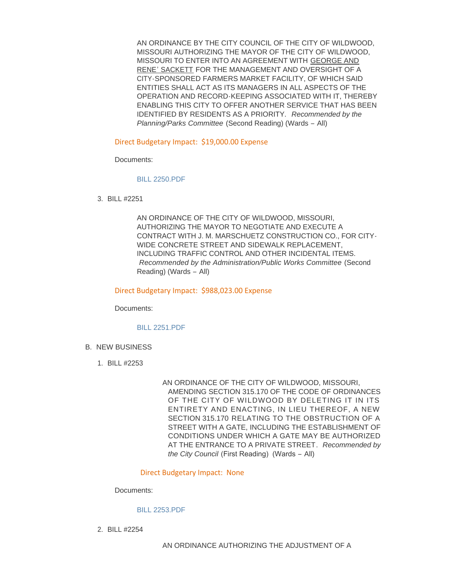AN ORDINANCE BY THE CITY COUNCIL OF THE CITY OF WILDWOOD, MISSOURI AUTHORIZING THE MAYOR OF THE CITY OF WILDWOOD, MISSOURI TO ENTER INTO AN AGREEMENT WITH GEORGE AND RENE' SACKETT FOR THE MANAGEMENT AND OVERSIGHT OF A CITY-SPONSORED FARMERS MARKET FACILITY, OF WHICH SAID ENTITIES SHALL ACT AS ITS MANAGERS IN ALL ASPECTS OF THE OPERATION AND RECORD-KEEPING ASSOCIATED WITH IT, THEREBY ENABLING THIS CITY TO OFFER ANOTHER SERVICE THAT HAS BEEN IDENTIFIED BY RESIDENTS AS A PRIORITY. *Recommended by the Planning/Parks Committee* (Second Reading) (Wards – All)

Direct Budgetary Impact: \$19,000.00 Expense

Documents:

[BILL 2250.PDF](http://www.cityofwildwood.com/AgendaCenter/ViewFile/Item/10235?fileID=14663)

BILL #2251 3.

AN ORDINANCE OF THE CITY OF WILDWOOD, MISSOURI, AUTHORIZING THE MAYOR TO NEGOTIATE AND EXECUTE A CONTRACT WITH J. M. MARSCHUETZ CONSTRUCTION CO., FOR CITY-WIDE CONCRETE STREET AND SIDEWALK REPLACEMENT, INCLUDING TRAFFIC CONTROL AND OTHER INCIDENTAL ITEMS. *Recommended by the Administration/Public Works Committee* (Second Reading) (Wards – All)

Direct Budgetary Impact: \$988,023.00 Expense

Documents:

[BILL 2251.PDF](http://www.cityofwildwood.com/AgendaCenter/ViewFile/Item/10236?fileID=14664)

- **B. NEW BUSINESS** 
	- BILL #2253 1.

AN ORDINANCE OF THE CITY OF WILDWOOD, MISSOURI, AMENDING SECTION 315.170 OF THE CODE OF ORDINANCES OF THE CITY OF WILDWOOD BY DELETING IT IN ITS ENTIRETY AND ENACTING, IN LIEU THEREOF, A NEW SECTION 315.170 RELATING TO THE OBSTRUCTION OF A STREET WITH A GATE, INCLUDING THE ESTABLISHMENT OF CONDITIONS UNDER WHICH A GATE MAY BE AUTHORIZED AT THE ENTRANCE TO A PRIVATE STREET. *Recommended by the City Council* (First Reading) (Wards – All)

Direct Budgetary Impact: None

Documents:

#### [BILL 2253.PDF](http://www.cityofwildwood.com/AgendaCenter/ViewFile/Item/10238?fileID=14665)

BILL #2254 2.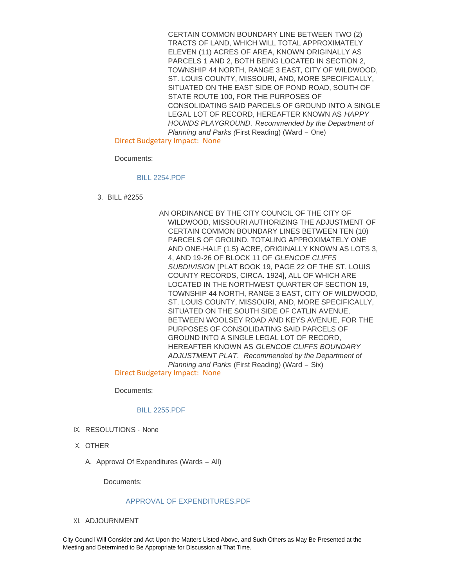CERTAIN COMMON BOUNDARY LINE BETWEEN TWO (2) TRACTS OF LAND, WHICH WILL TOTAL APPROXIMATELY ELEVEN (11) ACRES OF AREA, KNOWN ORIGINALLY AS PARCELS 1 AND 2, BOTH BEING LOCATED IN SECTION 2, TOWNSHIP 44 NORTH, RANGE 3 EAST, CITY OF WILDWOOD, ST. LOUIS COUNTY, MISSOURI, AND, MORE SPECIFICALLY, SITUATED ON THE EAST SIDE OF POND ROAD, SOUTH OF STATE ROUTE 100, FOR THE PURPOSES OF CONSOLIDATING SAID PARCELS OF GROUND INTO A SINGLE LEGAL LOT OF RECORD, HEREAFTER KNOWN AS *HAPPY HOUNDS PLAYGROUND*. *Recommended by the Department of Planning and Parks (*First Reading) (Ward – One)

Direct Budgetary Impact: None

Documents:

#### [BILL 2254.PDF](http://www.cityofwildwood.com/AgendaCenter/ViewFile/Item/10239?fileID=14666)

BILL #2255 3.

AN ORDINANCE BY THE CITY COUNCIL OF THE CITY OF WILDWOOD, MISSOURI AUTHORIZING THE ADJUSTMENT OF CERTAIN COMMON BOUNDARY LINES BETWEEN TEN (10) PARCELS OF GROUND, TOTALING APPROXIMATELY ONE AND ONE-HALF (1.5) ACRE, ORIGINALLY KNOWN AS LOTS 3, 4, AND 19-26 OF BLOCK 11 OF *GLENCOE CLIFFS SUBDIVISION* [PLAT BOOK 19, PAGE 22 OF THE ST. LOUIS COUNTY RECORDS, CIRCA. 1924], ALL OF WHICH ARE LOCATED IN THE NORTHWEST QUARTER OF SECTION 19, TOWNSHIP 44 NORTH, RANGE 3 EAST, CITY OF WILDWOOD, ST. LOUIS COUNTY, MISSOURI, AND, MORE SPECIFICALLY, SITUATED ON THE SOUTH SIDE OF CATLIN AVENUE, BETWEEN WOOLSEY ROAD AND KEYS AVENUE, FOR THE PURPOSES OF CONSOLIDATING SAID PARCELS OF GROUND INTO A SINGLE LEGAL LOT OF RECORD, HEREAFTER KNOWN AS *GLENCOE CLIFFS BOUNDARY ADJUSTMENT PLAT*. *Recommended by the Department of Planning and Parks* (First Reading) (Ward – Six)

Direct Budgetary Impact: None

Documents:

[BILL 2255.PDF](http://www.cityofwildwood.com/AgendaCenter/ViewFile/Item/10240?fileID=14667)

- IX. RESOLUTIONS None
- X. OTHER
	- A. Approval Of Expenditures (Wards All)

Documents:

#### [APPROVAL OF EXPENDITURES.PDF](http://www.cityofwildwood.com/AgendaCenter/ViewFile/Item/10243?fileID=14668)

XI. ADJOURNMENT

City Council Will Consider and Act Upon the Matters Listed Above, and Such Others as May Be Presented at the Meeting and Determined to Be Appropriate for Discussion at That Time.